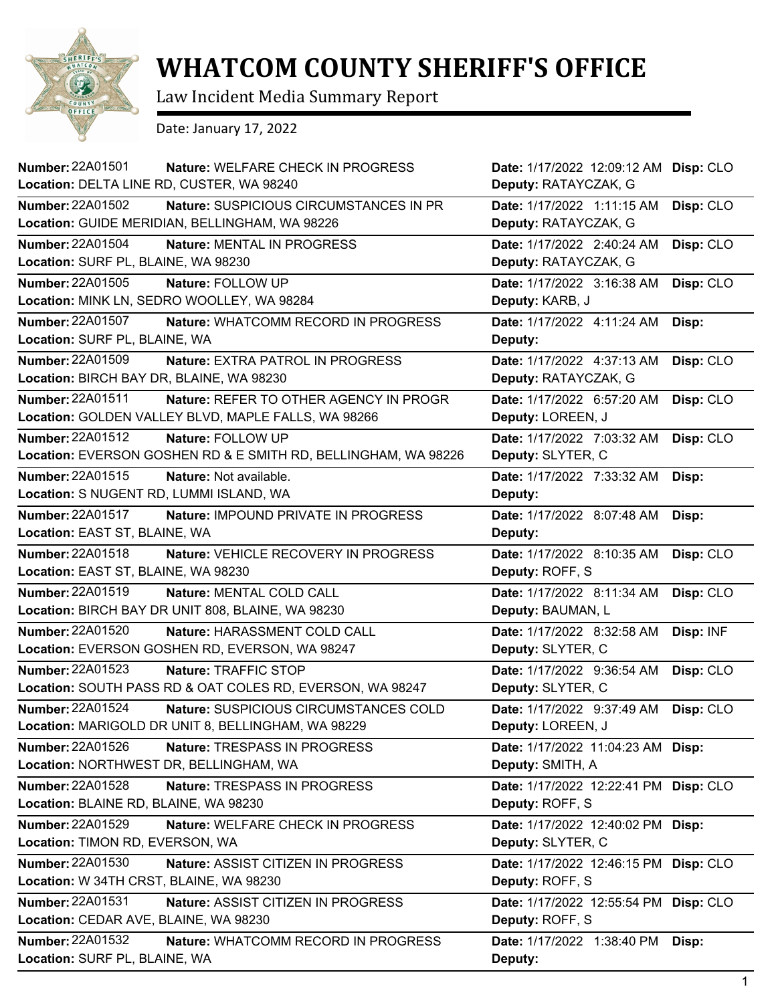

## **WHATCOM COUNTY SHERIFF'S OFFICE**

Law Incident Media Summary Report

Date: January 17, 2022

| <b>Number: 22A01501</b><br><b>Nature: WELFARE CHECK IN PROGRESS</b>  | Date: 1/17/2022 12:09:12 AM       | Disp: CLO |
|----------------------------------------------------------------------|-----------------------------------|-----------|
| Location: DELTA LINE RD, CUSTER, WA 98240                            | Deputy: RATAYCZAK, G              |           |
| <b>Number: 22A01502</b><br>Nature: SUSPICIOUS CIRCUMSTANCES IN PR    | Date: 1/17/2022 1:11:15 AM        | Disp: CLO |
| Location: GUIDE MERIDIAN, BELLINGHAM, WA 98226                       | Deputy: RATAYCZAK, G              |           |
| <b>Number: 22A01504</b><br>Nature: MENTAL IN PROGRESS                | Date: 1/17/2022 2:40:24 AM        | Disp: CLO |
| Location: SURF PL, BLAINE, WA 98230                                  | Deputy: RATAYCZAK, G              |           |
| Number: 22A01505<br>Nature: FOLLOW UP                                | Date: 1/17/2022 3:16:38 AM        | Disp: CLO |
| Location: MINK LN, SEDRO WOOLLEY, WA 98284                           | Deputy: KARB, J                   |           |
| <b>Number: 22A01507</b><br>Nature: WHATCOMM RECORD IN PROGRESS       | Date: 1/17/2022 4:11:24 AM        | Disp:     |
| Location: SURF PL, BLAINE, WA                                        | Deputy:                           |           |
| Number: 22A01509<br>Nature: EXTRA PATROL IN PROGRESS                 | Date: 1/17/2022 4:37:13 AM        | Disp: CLO |
| Location: BIRCH BAY DR, BLAINE, WA 98230                             | Deputy: RATAYCZAK, G              |           |
| Number: 22A01511<br>Nature: REFER TO OTHER AGENCY IN PROGR           | Date: 1/17/2022 6:57:20 AM        | Disp: CLO |
| Location: GOLDEN VALLEY BLVD, MAPLE FALLS, WA 98266                  | Deputy: LOREEN, J                 |           |
| Number: 22A01512<br>Nature: FOLLOW UP                                | Date: 1/17/2022 7:03:32 AM        | Disp: CLO |
| Location: EVERSON GOSHEN RD & E SMITH RD, BELLINGHAM, WA 98226       | Deputy: SLYTER, C                 |           |
| Number: 22A01515<br>Nature: Not available.                           | Date: 1/17/2022 7:33:32 AM        | Disp:     |
| Location: S NUGENT RD, LUMMI ISLAND, WA                              | Deputy:                           |           |
| <b>Number: 22A01517</b><br>Nature: IMPOUND PRIVATE IN PROGRESS       | Date: 1/17/2022 8:07:48 AM        | Disp:     |
| Location: EAST ST, BLAINE, WA                                        | Deputy:                           |           |
| Number: 22A01518<br>Nature: VEHICLE RECOVERY IN PROGRESS             | Date: 1/17/2022 8:10:35 AM        | Disp: CLO |
| Location: EAST ST, BLAINE, WA 98230                                  | Deputy: ROFF, S                   |           |
| Number: 22A01519<br>Nature: MENTAL COLD CALL                         | Date: 1/17/2022 8:11:34 AM        | Disp: CLO |
| Location: BIRCH BAY DR UNIT 808, BLAINE, WA 98230                    | Deputy: BAUMAN, L                 |           |
| <b>Number: 22A01520</b><br>Nature: HARASSMENT COLD CALL              | Date: 1/17/2022 8:32:58 AM        | Disp: INF |
| Location: EVERSON GOSHEN RD, EVERSON, WA 98247                       | Deputy: SLYTER, C                 |           |
| Number: 22A01523<br>Nature: TRAFFIC STOP                             | Date: 1/17/2022 9:36:54 AM        | Disp: CLO |
| Location: SOUTH PASS RD & OAT COLES RD, EVERSON, WA 98247            | Deputy: SLYTER, C                 |           |
| Number: 22A01524<br>Nature: SUSPICIOUS CIRCUMSTANCES COLD            | Date: 1/17/2022 9:37:49 AM        | Disp: CLO |
| Location: MARIGOLD DR UNIT 8, BELLINGHAM, WA 98229                   | Deputy: LOREEN, J                 |           |
| Number: 22A01526<br>Nature: TRESPASS IN PROGRESS                     | Date: 1/17/2022 11:04:23 AM Disp: |           |
| Location: NORTHWEST DR, BELLINGHAM, WA                               | Deputy: SMITH, A                  |           |
| Number: 22A01528<br>Nature: TRESPASS IN PROGRESS                     | Date: 1/17/2022 12:22:41 PM       | Disp: CLO |
| Location: BLAINE RD, BLAINE, WA 98230                                | Deputy: ROFF, S                   |           |
| Number: 22A01529<br>Nature: WELFARE CHECK IN PROGRESS                | Date: 1/17/2022 12:40:02 PM Disp: |           |
| Location: TIMON RD, EVERSON, WA                                      | Deputy: SLYTER, C                 |           |
| <b>Number: 22A01530</b><br><b>Nature: ASSIST CITIZEN IN PROGRESS</b> | Date: 1/17/2022 12:46:15 PM       | Disp: CLO |
| Location: W 34TH CRST, BLAINE, WA 98230                              | Deputy: ROFF, S                   |           |
| <b>Number: 22A01531</b><br>Nature: ASSIST CITIZEN IN PROGRESS        | Date: 1/17/2022 12:55:54 PM       | Disp: CLO |
| Location: CEDAR AVE, BLAINE, WA 98230                                | Deputy: ROFF, S                   |           |
| <b>Number: 22A01532</b><br>Nature: WHATCOMM RECORD IN PROGRESS       | Date: 1/17/2022 1:38:40 PM        | Disp:     |
| Location: SURF PL, BLAINE, WA                                        | Deputy:                           |           |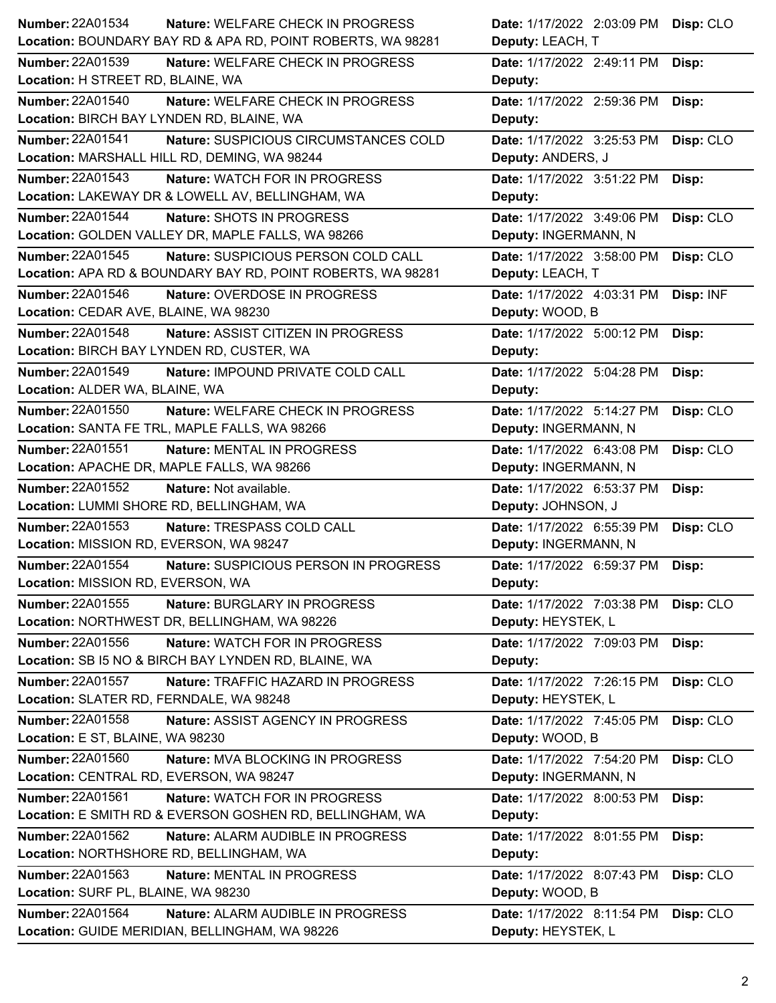| Number: 22A01534<br>Nature: WELFARE CHECK IN PROGRESS         | Date: 1/17/2022 2:03:09 PM Disp: CLO    |
|---------------------------------------------------------------|-----------------------------------------|
| Location: BOUNDARY BAY RD & APA RD, POINT ROBERTS, WA 98281   | Deputy: LEACH, T                        |
| <b>Number: 22A01539</b><br>Nature: WELFARE CHECK IN PROGRESS  | Date: 1/17/2022 2:49:11 PM<br>Disp:     |
| Location: H STREET RD, BLAINE, WA                             | Deputy:                                 |
| <b>Number: 22A01540</b><br>Nature: WELFARE CHECK IN PROGRESS  | Date: 1/17/2022 2:59:36 PM<br>Disp:     |
| Location: BIRCH BAY LYNDEN RD, BLAINE, WA                     | Deputy:                                 |
| Number: 22A01541<br>Nature: SUSPICIOUS CIRCUMSTANCES COLD     | Date: 1/17/2022 3:25:53 PM<br>Disp: CLO |
| Location: MARSHALL HILL RD, DEMING, WA 98244                  | Deputy: ANDERS, J                       |
| Number: 22A01543<br>Nature: WATCH FOR IN PROGRESS             | Date: 1/17/2022 3:51:22 PM<br>Disp:     |
| Location: LAKEWAY DR & LOWELL AV, BELLINGHAM, WA              | Deputy:                                 |
| Number: 22A01544<br>Nature: SHOTS IN PROGRESS                 | Date: 1/17/2022 3:49:06 PM<br>Disp: CLO |
| Location: GOLDEN VALLEY DR, MAPLE FALLS, WA 98266             | Deputy: INGERMANN, N                    |
| Number: 22A01545<br>Nature: SUSPICIOUS PERSON COLD CALL       | Date: 1/17/2022 3:58:00 PM<br>Disp: CLO |
| Location: APA RD & BOUNDARY BAY RD, POINT ROBERTS, WA 98281   | Deputy: LEACH, T                        |
| Number: 22A01546<br>Nature: OVERDOSE IN PROGRESS              | Date: 1/17/2022 4:03:31 PM<br>Disp: INF |
| Location: CEDAR AVE, BLAINE, WA 98230                         | Deputy: WOOD, B                         |
| <b>Number: 22A01548</b><br>Nature: ASSIST CITIZEN IN PROGRESS | Date: 1/17/2022 5:00:12 PM<br>Disp:     |
| Location: BIRCH BAY LYNDEN RD, CUSTER, WA                     | Deputy:                                 |
| Number: 22A01549<br>Nature: IMPOUND PRIVATE COLD CALL         | Date: 1/17/2022 5:04:28 PM<br>Disp:     |
| Location: ALDER WA, BLAINE, WA                                | Deputy:                                 |
| <b>Number: 22A01550</b><br>Nature: WELFARE CHECK IN PROGRESS  | Date: 1/17/2022 5:14:27 PM<br>Disp: CLO |
| Location: SANTA FE TRL, MAPLE FALLS, WA 98266                 | Deputy: INGERMANN, N                    |
| Number: 22A01551<br>Nature: MENTAL IN PROGRESS                | Date: 1/17/2022 6:43:08 PM<br>Disp: CLO |
| Location: APACHE DR, MAPLE FALLS, WA 98266                    | Deputy: INGERMANN, N                    |
| <b>Number: 22A01552</b><br>Nature: Not available.             | Date: 1/17/2022 6:53:37 PM<br>Disp:     |
| Location: LUMMI SHORE RD, BELLINGHAM, WA                      | Deputy: JOHNSON, J                      |
| Number: 22A01553<br>Nature: TRESPASS COLD CALL                | Date: 1/17/2022 6:55:39 PM<br>Disp: CLO |
| Location: MISSION RD, EVERSON, WA 98247                       | Deputy: INGERMANN, N                    |
| Number: 22A01554<br>Nature: SUSPICIOUS PERSON IN PROGRESS     | Date: 1/17/2022 6:59:37 PM Disp:        |
| Location: MISSION RD, EVERSON, WA                             | Deputy:                                 |
| Number: 22A01555<br>Nature: BURGLARY IN PROGRESS              | Date: 1/17/2022 7:03:38 PM<br>Disp: CLO |
| Location: NORTHWEST DR, BELLINGHAM, WA 98226                  | Deputy: HEYSTEK, L                      |
| Number: 22A01556<br>Nature: WATCH FOR IN PROGRESS             | Date: 1/17/2022 7:09:03 PM<br>Disp:     |
| Location: SB I5 NO & BIRCH BAY LYNDEN RD, BLAINE, WA          | Deputy:                                 |
| <b>Number: 22A01557</b><br>Nature: TRAFFIC HAZARD IN PROGRESS | Disp: CLO<br>Date: 1/17/2022 7:26:15 PM |
| Location: SLATER RD, FERNDALE, WA 98248                       | Deputy: HEYSTEK, L                      |
| Number: 22A01558<br>Nature: ASSIST AGENCY IN PROGRESS         | Date: 1/17/2022 7:45:05 PM<br>Disp: CLO |
| Location: E ST, BLAINE, WA 98230                              | Deputy: WOOD, B                         |
| Number: 22A01560<br>Nature: MVA BLOCKING IN PROGRESS          | Date: 1/17/2022 7:54:20 PM<br>Disp: CLO |
| Location: CENTRAL RD, EVERSON, WA 98247                       | Deputy: INGERMANN, N                    |
| Number: 22A01561<br>Nature: WATCH FOR IN PROGRESS             | Date: 1/17/2022 8:00:53 PM<br>Disp:     |
| Location: E SMITH RD & EVERSON GOSHEN RD, BELLINGHAM, WA      | Deputy:                                 |
| <b>Number: 22A01562</b><br>Nature: ALARM AUDIBLE IN PROGRESS  | Date: 1/17/2022 8:01:55 PM<br>Disp:     |
| Location: NORTHSHORE RD, BELLINGHAM, WA                       | Deputy:                                 |
| <b>Number: 22A01563</b><br>Nature: MENTAL IN PROGRESS         | Disp: CLO<br>Date: 1/17/2022 8:07:43 PM |
| Location: SURF PL, BLAINE, WA 98230                           | Deputy: WOOD, B                         |
| Number: 22A01564<br>Nature: ALARM AUDIBLE IN PROGRESS         | Date: 1/17/2022 8:11:54 PM<br>Disp: CLO |
| Location: GUIDE MERIDIAN, BELLINGHAM, WA 98226                | Deputy: HEYSTEK, L                      |
|                                                               |                                         |